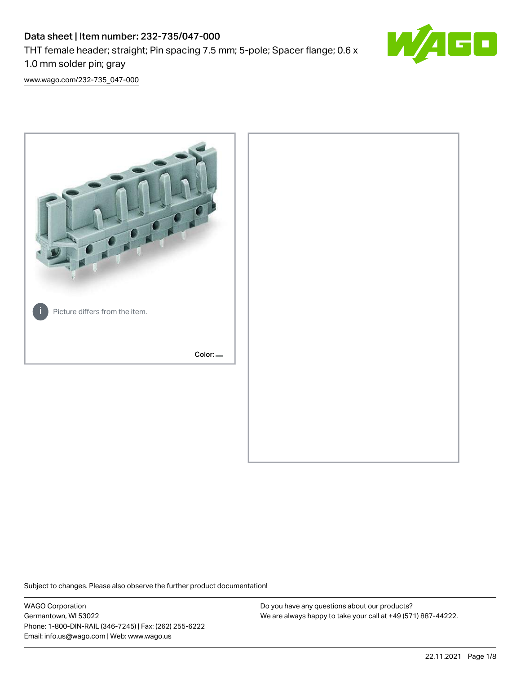# Data sheet | Item number: 232-735/047-000 THT female header; straight; Pin spacing 7.5 mm; 5-pole; Spacer flange; 0.6 x 1.0 mm solder pin; gray



[www.wago.com/232-735\\_047-000](http://www.wago.com/232-735_047-000)



Subject to changes. Please also observe the further product documentation!

WAGO Corporation Germantown, WI 53022 Phone: 1-800-DIN-RAIL (346-7245) | Fax: (262) 255-6222 Email: info.us@wago.com | Web: www.wago.us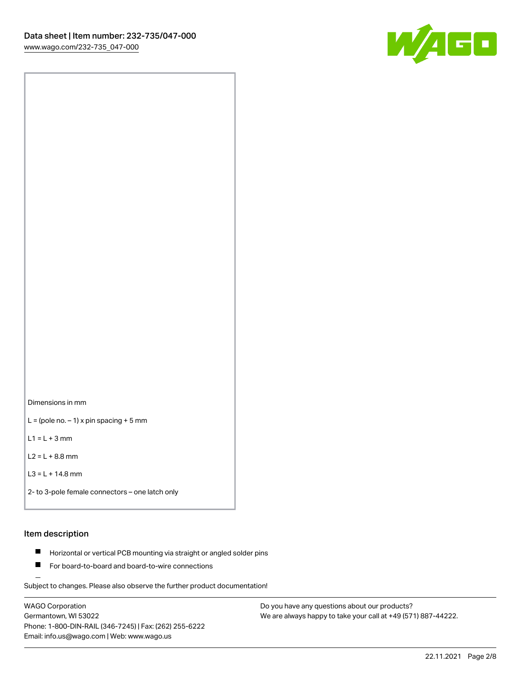

Dimensions in mm

 $L =$  (pole no.  $-1$ ) x pin spacing + 5 mm

 $L1 = L + 3$  mm

 $L2 = L + 8.8$  mm

```
L3 = L + 14.8 mm
```
2- to 3-pole female connectors – one latch only

## Item description

- **Horizontal or vertical PCB mounting via straight or angled solder pins**
- For board-to-board and board-to-wire connections

Subject to changes. Please also observe the further product documentation!

WAGO Corporation Germantown, WI 53022 Phone: 1-800-DIN-RAIL (346-7245) | Fax: (262) 255-6222 Email: info.us@wago.com | Web: www.wago.us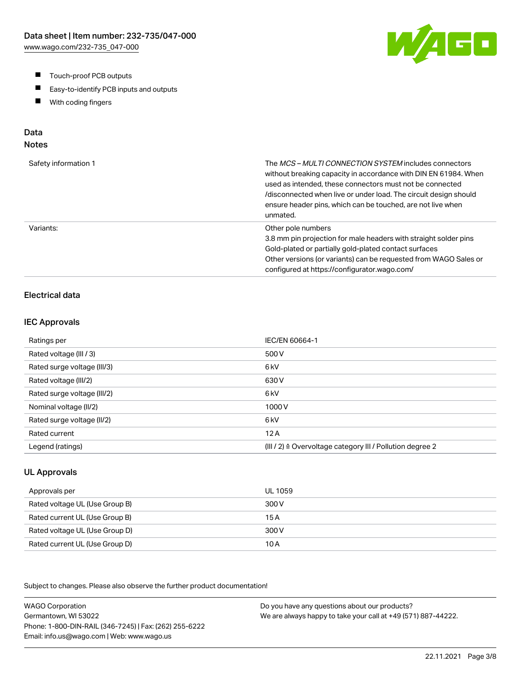- $\blacksquare$ Touch-proof PCB outputs
- $\blacksquare$ Easy-to-identify PCB inputs and outputs
- With coding fingers  $\blacksquare$

# Data

## Notes

| Safety information 1 | The <i>MCS – MULTI CONNECTION SYSTEM</i> includes connectors<br>without breaking capacity in accordance with DIN EN 61984. When<br>used as intended, these connectors must not be connected<br>/disconnected when live or under load. The circuit design should<br>ensure header pins, which can be touched, are not live when<br>unmated. |
|----------------------|--------------------------------------------------------------------------------------------------------------------------------------------------------------------------------------------------------------------------------------------------------------------------------------------------------------------------------------------|
| Variants:            | Other pole numbers<br>3.8 mm pin projection for male headers with straight solder pins<br>Gold-plated or partially gold-plated contact surfaces<br>Other versions (or variants) can be requested from WAGO Sales or<br>configured at https://configurator.wago.com/                                                                        |

## Electrical data

#### IEC Approvals

| Ratings per                 | IEC/EN 60664-1                                                       |
|-----------------------------|----------------------------------------------------------------------|
| Rated voltage (III / 3)     | 500 V                                                                |
| Rated surge voltage (III/3) | 6 <sub>kV</sub>                                                      |
| Rated voltage (III/2)       | 630 V                                                                |
| Rated surge voltage (III/2) | 6 <sub>k</sub> V                                                     |
| Nominal voltage (II/2)      | 1000V                                                                |
| Rated surge voltage (II/2)  | 6 <sub>k</sub> V                                                     |
| Rated current               | 12A                                                                  |
| Legend (ratings)            | (III / 2) $\triangleq$ Overvoltage category III / Pollution degree 2 |

#### UL Approvals

| Approvals per                  | UL 1059 |
|--------------------------------|---------|
| Rated voltage UL (Use Group B) | 300 V   |
| Rated current UL (Use Group B) | 15 A    |
| Rated voltage UL (Use Group D) | 300 V   |
| Rated current UL (Use Group D) | 10 A    |

Subject to changes. Please also observe the further product documentation!

WAGO Corporation Germantown, WI 53022 Phone: 1-800-DIN-RAIL (346-7245) | Fax: (262) 255-6222 Email: info.us@wago.com | Web: www.wago.us Do you have any questions about our products? We are always happy to take your call at +49 (571) 887-44222.

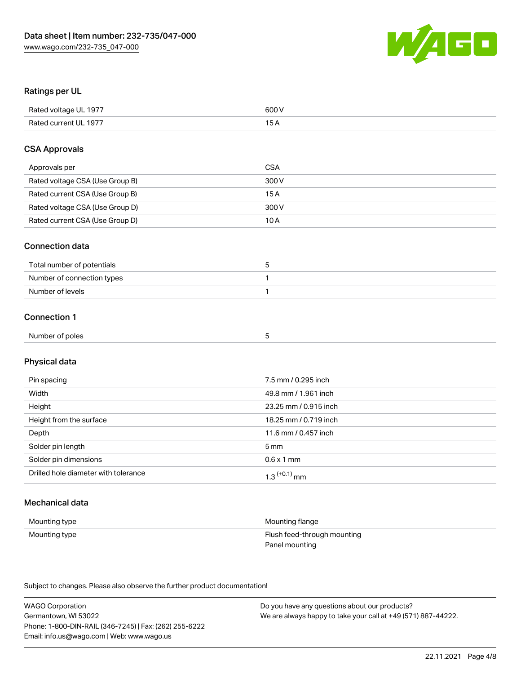

### Ratings per UL

| Rated voltage UL 1977 | 600 V |
|-----------------------|-------|
| Rated current UL 1977 |       |

#### CSA Approvals

| Approvals per                   | CSA   |
|---------------------------------|-------|
| Rated voltage CSA (Use Group B) | 300 V |
| Rated current CSA (Use Group B) | 15 A  |
| Rated voltage CSA (Use Group D) | 300 V |
| Rated current CSA (Use Group D) | 10 A  |

#### Connection data

| Total number of potentials |  |
|----------------------------|--|
| Number of connection types |  |
| Number of levels           |  |

#### Connection 1

| . .<br>Number<br>: poles<br>ΩТ<br>.<br>. |  |  |
|------------------------------------------|--|--|
|                                          |  |  |

# Physical data

| Pin spacing                          | 7.5 mm / 0.295 inch        |
|--------------------------------------|----------------------------|
| Width                                | 49.8 mm / 1.961 inch       |
| Height                               | 23.25 mm / 0.915 inch      |
| Height from the surface              | 18.25 mm / 0.719 inch      |
| Depth                                | 11.6 mm / 0.457 inch       |
| Solder pin length                    | 5 mm                       |
| Solder pin dimensions                | $0.6 \times 1$ mm          |
| Drilled hole diameter with tolerance | $1.3$ <sup>(+0.1)</sup> mm |

## Mechanical data

| Mounting type | Mounting flange             |
|---------------|-----------------------------|
| Mounting type | Flush feed-through mounting |
|               | Panel mounting              |

Subject to changes. Please also observe the further product documentation!

| <b>WAGO Corporation</b>                                | Do you have any questions about our products?                 |
|--------------------------------------------------------|---------------------------------------------------------------|
| Germantown, WI 53022                                   | We are always happy to take your call at +49 (571) 887-44222. |
| Phone: 1-800-DIN-RAIL (346-7245)   Fax: (262) 255-6222 |                                                               |
| Email: info.us@wago.com   Web: www.wago.us             |                                                               |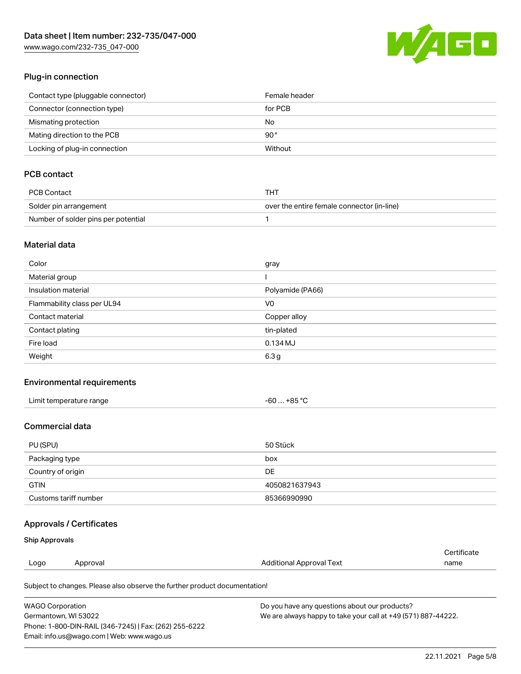[www.wago.com/232-735\\_047-000](http://www.wago.com/232-735_047-000)



#### Plug-in connection

| Contact type (pluggable connector) | Female header |
|------------------------------------|---------------|
| Connector (connection type)        | for PCB       |
| Mismating protection               | No            |
| Mating direction to the PCB        | 90 °          |
| Locking of plug-in connection      | Without       |

## PCB contact

| PCB Contact                         | THT                                        |
|-------------------------------------|--------------------------------------------|
| Solder pin arrangement              | over the entire female connector (in-line) |
| Number of solder pins per potential |                                            |

### Material data

| Color                       | gray             |
|-----------------------------|------------------|
| Material group              |                  |
| Insulation material         | Polyamide (PA66) |
| Flammability class per UL94 | V <sub>0</sub>   |
| Contact material            | Copper alloy     |
| Contact plating             | tin-plated       |
| Fire load                   | $0.134$ MJ       |
| Weight                      | 6.3 <sub>g</sub> |

#### Environmental requirements

| Limit temperature range | -60  +85 °C |
|-------------------------|-------------|
|-------------------------|-------------|

## Commercial data

| PU (SPU)              | 50 Stück      |
|-----------------------|---------------|
| Packaging type        | box           |
| Country of origin     | DE            |
| <b>GTIN</b>           | 4050821637943 |
| Customs tariff number | 85366990990   |

## Approvals / Certificates

#### Ship Approvals

| Logo | Approval | <b>Additional Approval Text</b> | name                  |
|------|----------|---------------------------------|-----------------------|
|      |          |                                 | ' <i>∶</i> ertificate |

Subject to changes. Please also observe the further product documentation!

| <b>WAGO Corporation</b>                                | Do you have any questions about our products?                 |
|--------------------------------------------------------|---------------------------------------------------------------|
| Germantown, WI 53022                                   | We are always happy to take your call at +49 (571) 887-44222. |
| Phone: 1-800-DIN-RAIL (346-7245)   Fax: (262) 255-6222 |                                                               |
| Email: info.us@wago.com   Web: www.wago.us             |                                                               |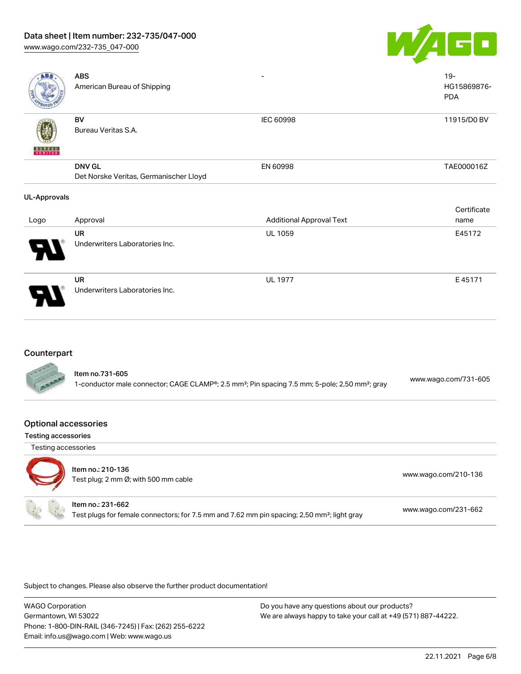## Data sheet | Item number: 232-735/047-000

[www.wago.com/232-735\\_047-000](http://www.wago.com/232-735_047-000)



| <b>ABS</b>          | <b>ABS</b><br>American Bureau of Shipping               |                                 | $19 -$<br>HG15869876-<br><b>PDA</b> |
|---------------------|---------------------------------------------------------|---------------------------------|-------------------------------------|
| <b>BUNEAU</b>       | BV<br>Bureau Veritas S.A.                               | IEC 60998                       | 11915/D0 BV                         |
|                     | <b>DNV GL</b><br>Det Norske Veritas, Germanischer Lloyd | EN 60998                        | TAE000016Z                          |
| <b>UL-Approvals</b> |                                                         |                                 |                                     |
|                     |                                                         |                                 | Certificate                         |
| Logo                | Approval                                                | <b>Additional Approval Text</b> | name                                |
|                     | <b>UR</b><br>Underwriters Laboratories Inc.             | UL 1059                         | E45172                              |
|                     | UR<br>Underwriters Laboratories Inc.                    | <b>UL 1977</b>                  | E45171                              |

#### **Counterpart**

| ltem no.731-605<br>www.wago.com/731-605<br>1-conductor male connector; CAGE CLAMP®; 2.5 mm <sup>2</sup> ; Pin spacing 7.5 mm; 5-pole; 2,50 mm <sup>2</sup> ; gray |
|-------------------------------------------------------------------------------------------------------------------------------------------------------------------|
|-------------------------------------------------------------------------------------------------------------------------------------------------------------------|

#### Optional accessories

Testing accessories



## Item no.: 210-136

Test plug; 2 no-136<br>Test plug; 2 mm Ø; with 500 mm cable [www.wago.com/210-136](http://www.wago.com/210-136)

#### Item no.: 231-662

Test plugs for female connectors; for 7.5 mm and 7.62 mm pin spacing; 2,50 mm²; light gray [www.wago.com/231-662](http://www.wago.com/231-662)

Subject to changes. Please also observe the further product documentation!

WAGO Corporation Germantown, WI 53022 Phone: 1-800-DIN-RAIL (346-7245) | Fax: (262) 255-6222 Email: info.us@wago.com | Web: www.wago.us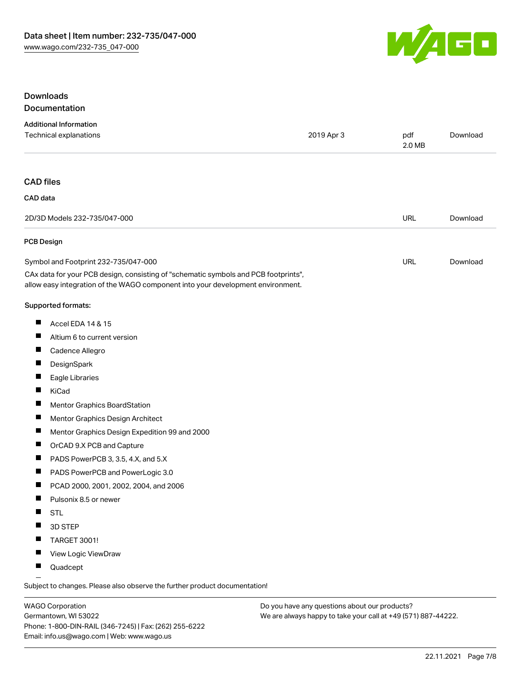

## Downloads Documentation

| <b>Additional Information</b>                                                                                                                                          |            |               |          |
|------------------------------------------------------------------------------------------------------------------------------------------------------------------------|------------|---------------|----------|
| Technical explanations                                                                                                                                                 | 2019 Apr 3 | pdf<br>2.0 MB | Download |
| <b>CAD files</b>                                                                                                                                                       |            |               |          |
| CAD data                                                                                                                                                               |            |               |          |
| 2D/3D Models 232-735/047-000                                                                                                                                           |            | <b>URL</b>    | Download |
| <b>PCB Design</b>                                                                                                                                                      |            |               |          |
| Symbol and Footprint 232-735/047-000                                                                                                                                   |            | URL           | Download |
| CAx data for your PCB design, consisting of "schematic symbols and PCB footprints",<br>allow easy integration of the WAGO component into your development environment. |            |               |          |
| Supported formats:                                                                                                                                                     |            |               |          |
| ш<br>Accel EDA 14 & 15                                                                                                                                                 |            |               |          |
| ш<br>Altium 6 to current version                                                                                                                                       |            |               |          |
| Cadence Allegro                                                                                                                                                        |            |               |          |
| ш<br>DesignSpark                                                                                                                                                       |            |               |          |
| ш<br>Eagle Libraries                                                                                                                                                   |            |               |          |
| ш<br>KiCad                                                                                                                                                             |            |               |          |
| ш<br>Mentor Graphics BoardStation                                                                                                                                      |            |               |          |
| ш<br>Mentor Graphics Design Architect                                                                                                                                  |            |               |          |
| ш<br>Mentor Graphics Design Expedition 99 and 2000                                                                                                                     |            |               |          |
| ш<br>OrCAD 9.X PCB and Capture                                                                                                                                         |            |               |          |
| ш<br>PADS PowerPCB 3, 3.5, 4.X, and 5.X                                                                                                                                |            |               |          |
| ш<br>PADS PowerPCB and PowerLogic 3.0                                                                                                                                  |            |               |          |
| ш<br>PCAD 2000, 2001, 2002, 2004, and 2006                                                                                                                             |            |               |          |
| ш<br>Pulsonix 8.5 or newer                                                                                                                                             |            |               |          |
| H.<br><b>STL</b>                                                                                                                                                       |            |               |          |
| 3D STEP<br>ш                                                                                                                                                           |            |               |          |
| TARGET 3001!                                                                                                                                                           |            |               |          |
| View Logic ViewDraw<br>ш                                                                                                                                               |            |               |          |
| ш<br>Quadcept                                                                                                                                                          |            |               |          |

.<br>Subject to changes. Please also observe the further product documentation!

WAGO Corporation Germantown, WI 53022 Phone: 1-800-DIN-RAIL (346-7245) | Fax: (262) 255-6222 Email: info.us@wago.com | Web: www.wago.us